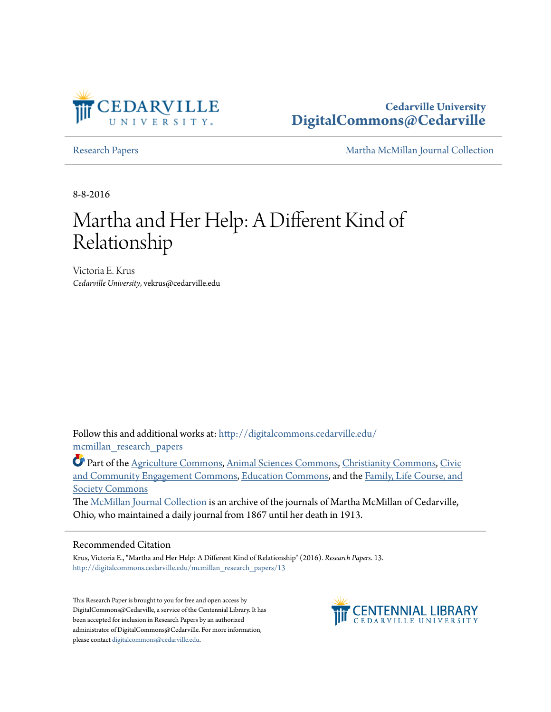

## **Cedarville University [DigitalCommons@Cedarville](http://digitalcommons.cedarville.edu?utm_source=digitalcommons.cedarville.edu%2Fmcmillan_research_papers%2F13&utm_medium=PDF&utm_campaign=PDFCoverPages)**

[Research Papers](http://digitalcommons.cedarville.edu/mcmillan_research_papers?utm_source=digitalcommons.cedarville.edu%2Fmcmillan_research_papers%2F13&utm_medium=PDF&utm_campaign=PDFCoverPages) [Martha McMillan Journal Collection](http://digitalcommons.cedarville.edu/mcmillan_journal_collection?utm_source=digitalcommons.cedarville.edu%2Fmcmillan_research_papers%2F13&utm_medium=PDF&utm_campaign=PDFCoverPages)

8-8-2016

# Martha and Her Help: A Different Kind of Relationship

Victoria E. Krus *Cedarville University*, vekrus@cedarville.edu

Follow this and additional works at: [http://digitalcommons.cedarville.edu/](http://digitalcommons.cedarville.edu/mcmillan_research_papers?utm_source=digitalcommons.cedarville.edu%2Fmcmillan_research_papers%2F13&utm_medium=PDF&utm_campaign=PDFCoverPages) [mcmillan\\_research\\_papers](http://digitalcommons.cedarville.edu/mcmillan_research_papers?utm_source=digitalcommons.cedarville.edu%2Fmcmillan_research_papers%2F13&utm_medium=PDF&utm_campaign=PDFCoverPages)

Part of the [Agriculture Commons](http://network.bepress.com/hgg/discipline/1076?utm_source=digitalcommons.cedarville.edu%2Fmcmillan_research_papers%2F13&utm_medium=PDF&utm_campaign=PDFCoverPages), [Animal Sciences Commons,](http://network.bepress.com/hgg/discipline/76?utm_source=digitalcommons.cedarville.edu%2Fmcmillan_research_papers%2F13&utm_medium=PDF&utm_campaign=PDFCoverPages) [Christianity Commons](http://network.bepress.com/hgg/discipline/1181?utm_source=digitalcommons.cedarville.edu%2Fmcmillan_research_papers%2F13&utm_medium=PDF&utm_campaign=PDFCoverPages), [Civic](http://network.bepress.com/hgg/discipline/1028?utm_source=digitalcommons.cedarville.edu%2Fmcmillan_research_papers%2F13&utm_medium=PDF&utm_campaign=PDFCoverPages) [and Community Engagement Commons,](http://network.bepress.com/hgg/discipline/1028?utm_source=digitalcommons.cedarville.edu%2Fmcmillan_research_papers%2F13&utm_medium=PDF&utm_campaign=PDFCoverPages) [Education Commons,](http://network.bepress.com/hgg/discipline/784?utm_source=digitalcommons.cedarville.edu%2Fmcmillan_research_papers%2F13&utm_medium=PDF&utm_campaign=PDFCoverPages) and the [Family, Life Course, and](http://network.bepress.com/hgg/discipline/419?utm_source=digitalcommons.cedarville.edu%2Fmcmillan_research_papers%2F13&utm_medium=PDF&utm_campaign=PDFCoverPages) [Society Commons](http://network.bepress.com/hgg/discipline/419?utm_source=digitalcommons.cedarville.edu%2Fmcmillan_research_papers%2F13&utm_medium=PDF&utm_campaign=PDFCoverPages)

The [McMillan Journal Collection](http://digitalcommons.cedarville.edu/mcmillan_journal_collection/) is an archive of the journals of Martha McMillan of Cedarville, Ohio, who maintained a daily journal from 1867 until her death in 1913.

#### Recommended Citation

Krus, Victoria E., "Martha and Her Help: A Different Kind of Relationship" (2016). *Research Papers*. 13. [http://digitalcommons.cedarville.edu/mcmillan\\_research\\_papers/13](http://digitalcommons.cedarville.edu/mcmillan_research_papers/13?utm_source=digitalcommons.cedarville.edu%2Fmcmillan_research_papers%2F13&utm_medium=PDF&utm_campaign=PDFCoverPages)

This Research Paper is brought to you for free and open access by DigitalCommons@Cedarville, a service of the Centennial Library. It has been accepted for inclusion in Research Papers by an authorized administrator of DigitalCommons@Cedarville. For more information, please contact [digitalcommons@cedarville.edu.](mailto:digitalcommons@cedarville.edu)

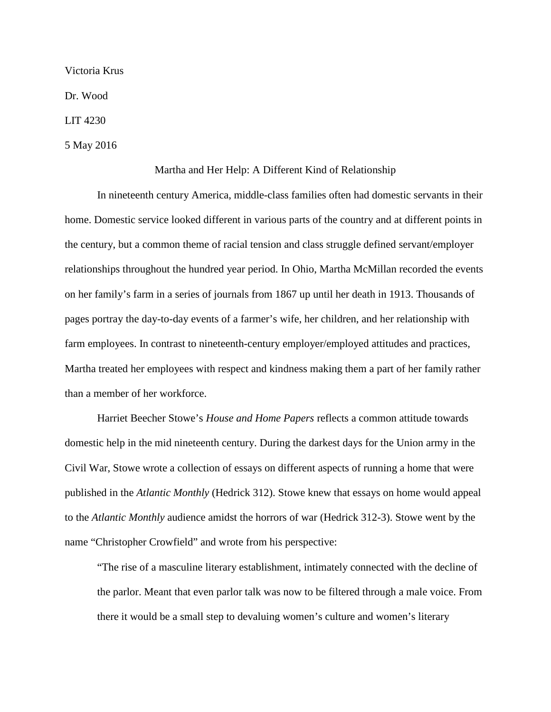Victoria Krus

Dr. Wood

LIT 4230

5 May 2016

### Martha and Her Help: A Different Kind of Relationship

In nineteenth century America, middle-class families often had domestic servants in their home. Domestic service looked different in various parts of the country and at different points in the century, but a common theme of racial tension and class struggle defined servant/employer relationships throughout the hundred year period. In Ohio, Martha McMillan recorded the events on her family's farm in a series of journals from 1867 up until her death in 1913. Thousands of pages portray the day-to-day events of a farmer's wife, her children, and her relationship with farm employees. In contrast to nineteenth-century employer/employed attitudes and practices, Martha treated her employees with respect and kindness making them a part of her family rather than a member of her workforce.

Harriet Beecher Stowe's *House and Home Papers* reflects a common attitude towards domestic help in the mid nineteenth century. During the darkest days for the Union army in the Civil War, Stowe wrote a collection of essays on different aspects of running a home that were published in the *Atlantic Monthly* (Hedrick 312). Stowe knew that essays on home would appeal to the *Atlantic Monthly* audience amidst the horrors of war (Hedrick 312-3). Stowe went by the name "Christopher Crowfield" and wrote from his perspective:

"The rise of a masculine literary establishment, intimately connected with the decline of the parlor. Meant that even parlor talk was now to be filtered through a male voice. From there it would be a small step to devaluing women's culture and women's literary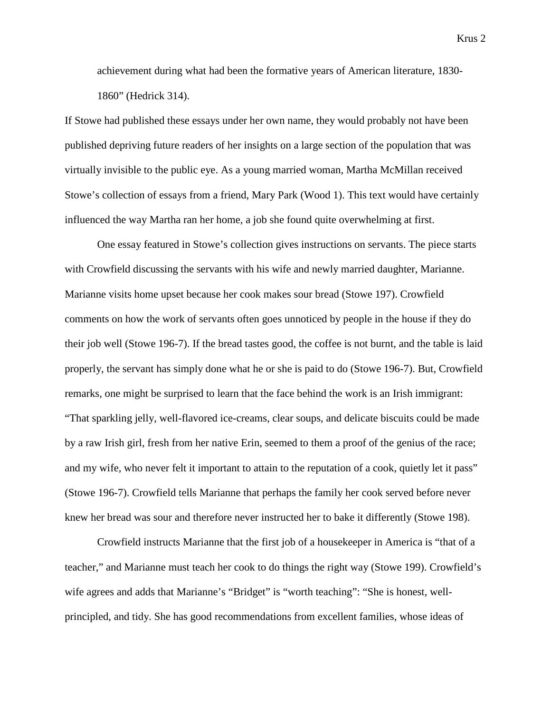achievement during what had been the formative years of American literature, 1830- 1860" (Hedrick 314).

If Stowe had published these essays under her own name, they would probably not have been published depriving future readers of her insights on a large section of the population that was virtually invisible to the public eye. As a young married woman, Martha McMillan received Stowe's collection of essays from a friend, Mary Park (Wood 1). This text would have certainly influenced the way Martha ran her home, a job she found quite overwhelming at first.

One essay featured in Stowe's collection gives instructions on servants. The piece starts with Crowfield discussing the servants with his wife and newly married daughter, Marianne. Marianne visits home upset because her cook makes sour bread (Stowe 197). Crowfield comments on how the work of servants often goes unnoticed by people in the house if they do their job well (Stowe 196-7). If the bread tastes good, the coffee is not burnt, and the table is laid properly, the servant has simply done what he or she is paid to do (Stowe 196-7). But, Crowfield remarks, one might be surprised to learn that the face behind the work is an Irish immigrant: "That sparkling jelly, well-flavored ice-creams, clear soups, and delicate biscuits could be made by a raw Irish girl, fresh from her native Erin, seemed to them a proof of the genius of the race; and my wife, who never felt it important to attain to the reputation of a cook, quietly let it pass" (Stowe 196-7). Crowfield tells Marianne that perhaps the family her cook served before never knew her bread was sour and therefore never instructed her to bake it differently (Stowe 198).

Crowfield instructs Marianne that the first job of a housekeeper in America is "that of a teacher," and Marianne must teach her cook to do things the right way (Stowe 199). Crowfield's wife agrees and adds that Marianne's "Bridget" is "worth teaching": "She is honest, wellprincipled, and tidy. She has good recommendations from excellent families, whose ideas of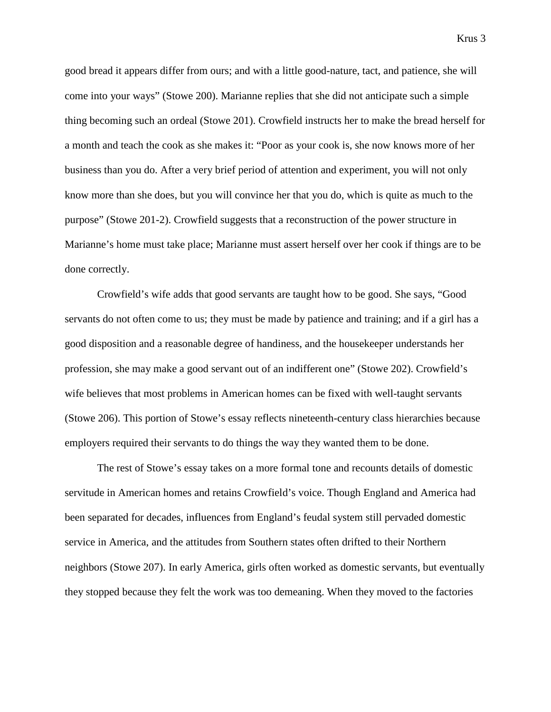good bread it appears differ from ours; and with a little good-nature, tact, and patience, she will come into your ways" (Stowe 200). Marianne replies that she did not anticipate such a simple thing becoming such an ordeal (Stowe 201). Crowfield instructs her to make the bread herself for a month and teach the cook as she makes it: "Poor as your cook is, she now knows more of her business than you do. After a very brief period of attention and experiment, you will not only know more than she does, but you will convince her that you do, which is quite as much to the purpose" (Stowe 201-2). Crowfield suggests that a reconstruction of the power structure in Marianne's home must take place; Marianne must assert herself over her cook if things are to be done correctly.

Crowfield's wife adds that good servants are taught how to be good. She says, "Good servants do not often come to us; they must be made by patience and training; and if a girl has a good disposition and a reasonable degree of handiness, and the housekeeper understands her profession, she may make a good servant out of an indifferent one" (Stowe 202). Crowfield's wife believes that most problems in American homes can be fixed with well-taught servants (Stowe 206). This portion of Stowe's essay reflects nineteenth-century class hierarchies because employers required their servants to do things the way they wanted them to be done.

The rest of Stowe's essay takes on a more formal tone and recounts details of domestic servitude in American homes and retains Crowfield's voice. Though England and America had been separated for decades, influences from England's feudal system still pervaded domestic service in America, and the attitudes from Southern states often drifted to their Northern neighbors (Stowe 207). In early America, girls often worked as domestic servants, but eventually they stopped because they felt the work was too demeaning. When they moved to the factories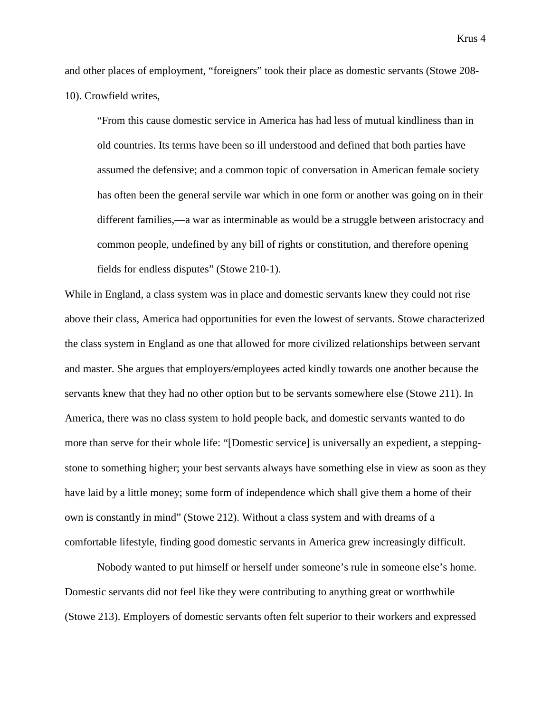and other places of employment, "foreigners" took their place as domestic servants (Stowe 208- 10). Crowfield writes,

"From this cause domestic service in America has had less of mutual kindliness than in old countries. Its terms have been so ill understood and defined that both parties have assumed the defensive; and a common topic of conversation in American female society has often been the general servile war which in one form or another was going on in their different families,—a war as interminable as would be a struggle between aristocracy and common people, undefined by any bill of rights or constitution, and therefore opening fields for endless disputes" (Stowe 210-1).

While in England, a class system was in place and domestic servants knew they could not rise above their class, America had opportunities for even the lowest of servants. Stowe characterized the class system in England as one that allowed for more civilized relationships between servant and master. She argues that employers/employees acted kindly towards one another because the servants knew that they had no other option but to be servants somewhere else (Stowe 211). In America, there was no class system to hold people back, and domestic servants wanted to do more than serve for their whole life: "[Domestic service] is universally an expedient, a steppingstone to something higher; your best servants always have something else in view as soon as they have laid by a little money; some form of independence which shall give them a home of their own is constantly in mind" (Stowe 212). Without a class system and with dreams of a comfortable lifestyle, finding good domestic servants in America grew increasingly difficult.

Nobody wanted to put himself or herself under someone's rule in someone else's home. Domestic servants did not feel like they were contributing to anything great or worthwhile (Stowe 213). Employers of domestic servants often felt superior to their workers and expressed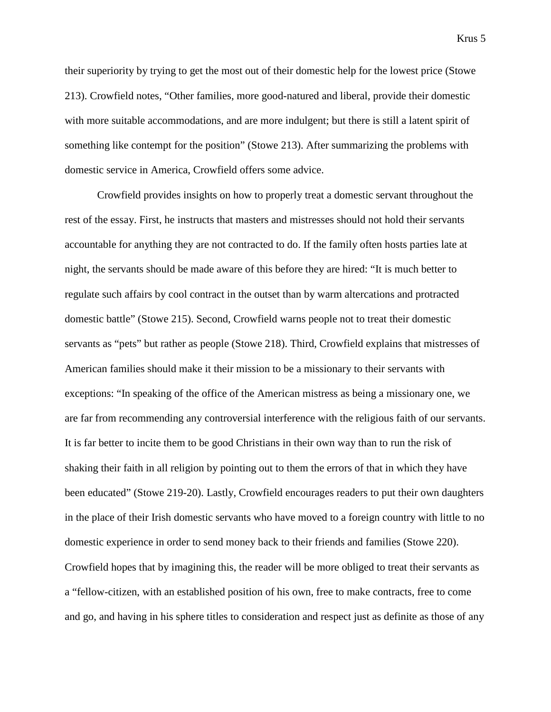their superiority by trying to get the most out of their domestic help for the lowest price (Stowe 213). Crowfield notes, "Other families, more good-natured and liberal, provide their domestic with more suitable accommodations, and are more indulgent; but there is still a latent spirit of something like contempt for the position" (Stowe 213). After summarizing the problems with domestic service in America, Crowfield offers some advice.

Crowfield provides insights on how to properly treat a domestic servant throughout the rest of the essay. First, he instructs that masters and mistresses should not hold their servants accountable for anything they are not contracted to do. If the family often hosts parties late at night, the servants should be made aware of this before they are hired: "It is much better to regulate such affairs by cool contract in the outset than by warm altercations and protracted domestic battle" (Stowe 215). Second, Crowfield warns people not to treat their domestic servants as "pets" but rather as people (Stowe 218). Third, Crowfield explains that mistresses of American families should make it their mission to be a missionary to their servants with exceptions: "In speaking of the office of the American mistress as being a missionary one, we are far from recommending any controversial interference with the religious faith of our servants. It is far better to incite them to be good Christians in their own way than to run the risk of shaking their faith in all religion by pointing out to them the errors of that in which they have been educated" (Stowe 219-20). Lastly, Crowfield encourages readers to put their own daughters in the place of their Irish domestic servants who have moved to a foreign country with little to no domestic experience in order to send money back to their friends and families (Stowe 220). Crowfield hopes that by imagining this, the reader will be more obliged to treat their servants as a "fellow-citizen, with an established position of his own, free to make contracts, free to come and go, and having in his sphere titles to consideration and respect just as definite as those of any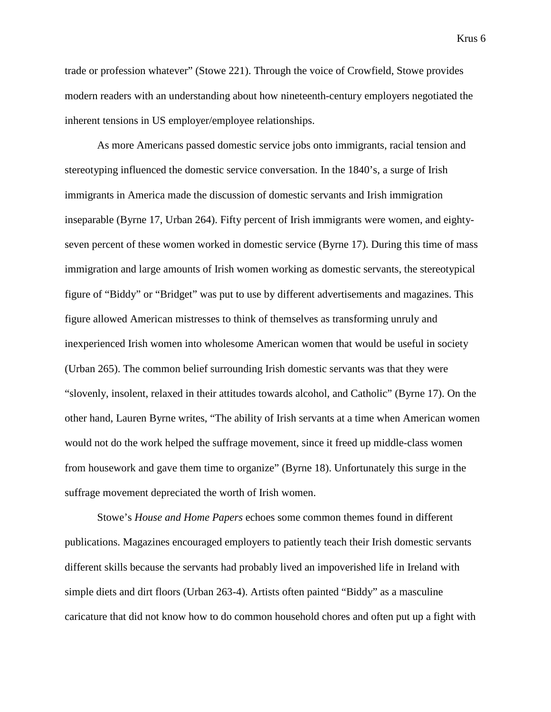trade or profession whatever" (Stowe 221). Through the voice of Crowfield, Stowe provides modern readers with an understanding about how nineteenth-century employers negotiated the inherent tensions in US employer/employee relationships.

As more Americans passed domestic service jobs onto immigrants, racial tension and stereotyping influenced the domestic service conversation. In the 1840's, a surge of Irish immigrants in America made the discussion of domestic servants and Irish immigration inseparable (Byrne 17, Urban 264). Fifty percent of Irish immigrants were women, and eightyseven percent of these women worked in domestic service (Byrne 17). During this time of mass immigration and large amounts of Irish women working as domestic servants, the stereotypical figure of "Biddy" or "Bridget" was put to use by different advertisements and magazines. This figure allowed American mistresses to think of themselves as transforming unruly and inexperienced Irish women into wholesome American women that would be useful in society (Urban 265). The common belief surrounding Irish domestic servants was that they were "slovenly, insolent, relaxed in their attitudes towards alcohol, and Catholic" (Byrne 17). On the other hand, Lauren Byrne writes, "The ability of Irish servants at a time when American women would not do the work helped the suffrage movement, since it freed up middle-class women from housework and gave them time to organize" (Byrne 18). Unfortunately this surge in the suffrage movement depreciated the worth of Irish women.

Stowe's *House and Home Papers* echoes some common themes found in different publications. Magazines encouraged employers to patiently teach their Irish domestic servants different skills because the servants had probably lived an impoverished life in Ireland with simple diets and dirt floors (Urban 263-4). Artists often painted "Biddy" as a masculine caricature that did not know how to do common household chores and often put up a fight with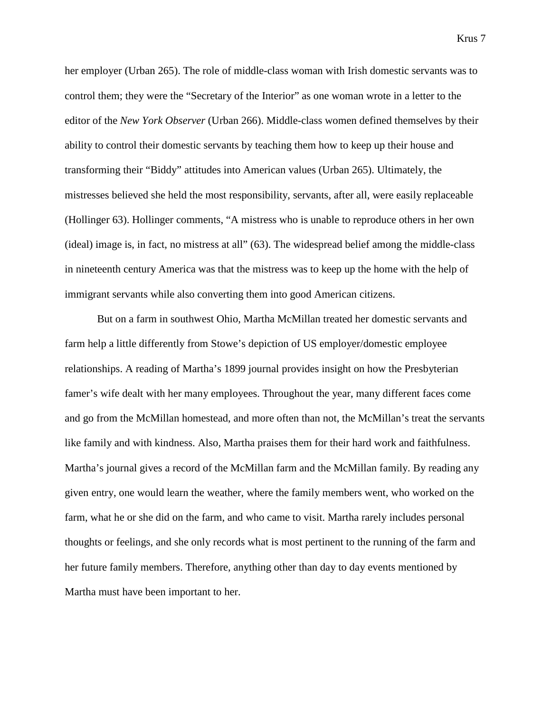her employer (Urban 265). The role of middle-class woman with Irish domestic servants was to control them; they were the "Secretary of the Interior" as one woman wrote in a letter to the editor of the *New York Observer* (Urban 266). Middle-class women defined themselves by their ability to control their domestic servants by teaching them how to keep up their house and transforming their "Biddy" attitudes into American values (Urban 265). Ultimately, the mistresses believed she held the most responsibility, servants, after all, were easily replaceable (Hollinger 63). Hollinger comments, "A mistress who is unable to reproduce others in her own (ideal) image is, in fact, no mistress at all" (63). The widespread belief among the middle-class in nineteenth century America was that the mistress was to keep up the home with the help of immigrant servants while also converting them into good American citizens.

But on a farm in southwest Ohio, Martha McMillan treated her domestic servants and farm help a little differently from Stowe's depiction of US employer/domestic employee relationships. A reading of Martha's 1899 journal provides insight on how the Presbyterian famer's wife dealt with her many employees. Throughout the year, many different faces come and go from the McMillan homestead, and more often than not, the McMillan's treat the servants like family and with kindness. Also, Martha praises them for their hard work and faithfulness. Martha's journal gives a record of the McMillan farm and the McMillan family. By reading any given entry, one would learn the weather, where the family members went, who worked on the farm, what he or she did on the farm, and who came to visit. Martha rarely includes personal thoughts or feelings, and she only records what is most pertinent to the running of the farm and her future family members. Therefore, anything other than day to day events mentioned by Martha must have been important to her.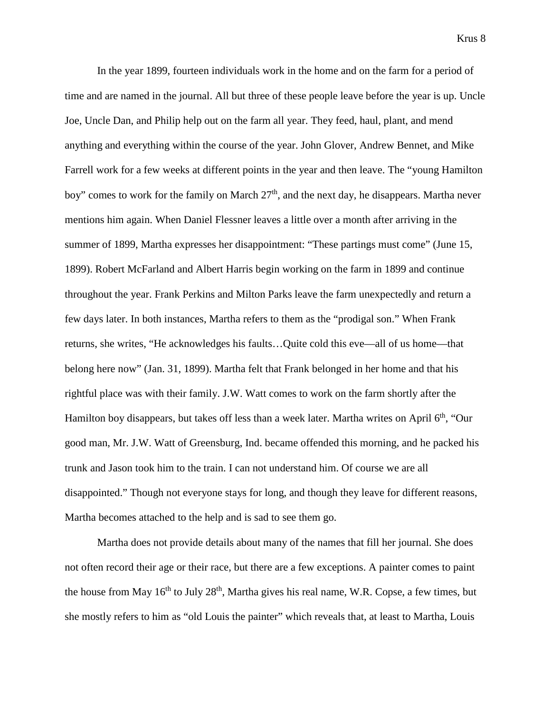In the year 1899, fourteen individuals work in the home and on the farm for a period of time and are named in the journal. All but three of these people leave before the year is up. Uncle Joe, Uncle Dan, and Philip help out on the farm all year. They feed, haul, plant, and mend anything and everything within the course of the year. John Glover, Andrew Bennet, and Mike Farrell work for a few weeks at different points in the year and then leave. The "young Hamilton boy" comes to work for the family on March  $27<sup>th</sup>$ , and the next day, he disappears. Martha never mentions him again. When Daniel Flessner leaves a little over a month after arriving in the summer of 1899, Martha expresses her disappointment: "These partings must come" (June 15, 1899). Robert McFarland and Albert Harris begin working on the farm in 1899 and continue throughout the year. Frank Perkins and Milton Parks leave the farm unexpectedly and return a few days later. In both instances, Martha refers to them as the "prodigal son." When Frank returns, she writes, "He acknowledges his faults…Quite cold this eve—all of us home—that belong here now" (Jan. 31, 1899). Martha felt that Frank belonged in her home and that his rightful place was with their family. J.W. Watt comes to work on the farm shortly after the Hamilton boy disappears, but takes off less than a week later. Martha writes on April 6<sup>th</sup>, "Our good man, Mr. J.W. Watt of Greensburg, Ind. became offended this morning, and he packed his trunk and Jason took him to the train. I can not understand him. Of course we are all disappointed." Though not everyone stays for long, and though they leave for different reasons, Martha becomes attached to the help and is sad to see them go.

Martha does not provide details about many of the names that fill her journal. She does not often record their age or their race, but there are a few exceptions. A painter comes to paint the house from May  $16<sup>th</sup>$  to July  $28<sup>th</sup>$ , Martha gives his real name, W.R. Copse, a few times, but she mostly refers to him as "old Louis the painter" which reveals that, at least to Martha, Louis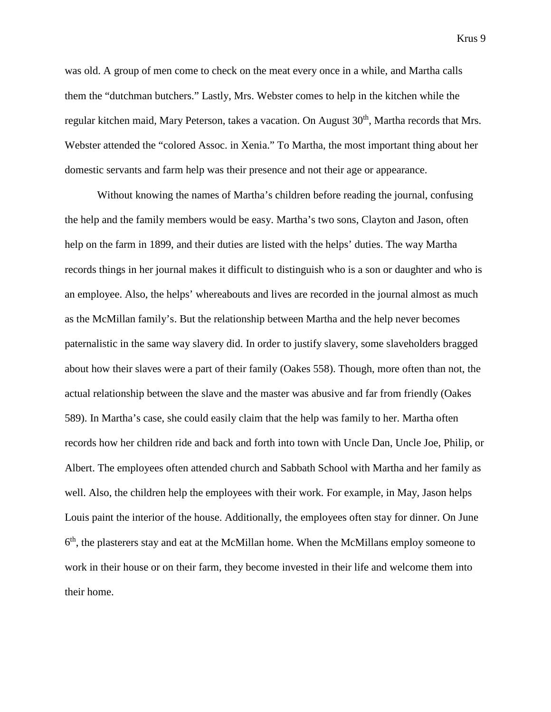was old. A group of men come to check on the meat every once in a while, and Martha calls them the "dutchman butchers." Lastly, Mrs. Webster comes to help in the kitchen while the regular kitchen maid, Mary Peterson, takes a vacation. On August 30<sup>th</sup>, Martha records that Mrs. Webster attended the "colored Assoc. in Xenia." To Martha, the most important thing about her domestic servants and farm help was their presence and not their age or appearance.

Without knowing the names of Martha's children before reading the journal, confusing the help and the family members would be easy. Martha's two sons, Clayton and Jason, often help on the farm in 1899, and their duties are listed with the helps' duties. The way Martha records things in her journal makes it difficult to distinguish who is a son or daughter and who is an employee. Also, the helps' whereabouts and lives are recorded in the journal almost as much as the McMillan family's. But the relationship between Martha and the help never becomes paternalistic in the same way slavery did. In order to justify slavery, some slaveholders bragged about how their slaves were a part of their family (Oakes 558). Though, more often than not, the actual relationship between the slave and the master was abusive and far from friendly (Oakes 589). In Martha's case, she could easily claim that the help was family to her. Martha often records how her children ride and back and forth into town with Uncle Dan, Uncle Joe, Philip, or Albert. The employees often attended church and Sabbath School with Martha and her family as well. Also, the children help the employees with their work. For example, in May, Jason helps Louis paint the interior of the house. Additionally, the employees often stay for dinner. On June  $6<sup>th</sup>$ , the plasterers stay and eat at the McMillan home. When the McMillans employ someone to work in their house or on their farm, they become invested in their life and welcome them into their home.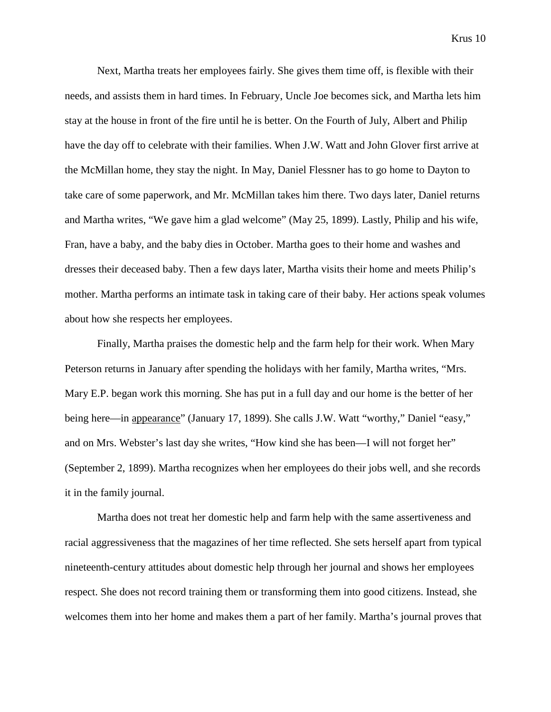Next, Martha treats her employees fairly. She gives them time off, is flexible with their needs, and assists them in hard times. In February, Uncle Joe becomes sick, and Martha lets him stay at the house in front of the fire until he is better. On the Fourth of July, Albert and Philip have the day off to celebrate with their families. When J.W. Watt and John Glover first arrive at the McMillan home, they stay the night. In May, Daniel Flessner has to go home to Dayton to take care of some paperwork, and Mr. McMillan takes him there. Two days later, Daniel returns and Martha writes, "We gave him a glad welcome" (May 25, 1899). Lastly, Philip and his wife, Fran, have a baby, and the baby dies in October. Martha goes to their home and washes and dresses their deceased baby. Then a few days later, Martha visits their home and meets Philip's mother. Martha performs an intimate task in taking care of their baby. Her actions speak volumes about how she respects her employees.

Finally, Martha praises the domestic help and the farm help for their work. When Mary Peterson returns in January after spending the holidays with her family, Martha writes, "Mrs. Mary E.P. began work this morning. She has put in a full day and our home is the better of her being here—in appearance" (January 17, 1899). She calls J.W. Watt "worthy," Daniel "easy," and on Mrs. Webster's last day she writes, "How kind she has been—I will not forget her" (September 2, 1899). Martha recognizes when her employees do their jobs well, and she records it in the family journal.

Martha does not treat her domestic help and farm help with the same assertiveness and racial aggressiveness that the magazines of her time reflected. She sets herself apart from typical nineteenth-century attitudes about domestic help through her journal and shows her employees respect. She does not record training them or transforming them into good citizens. Instead, she welcomes them into her home and makes them a part of her family. Martha's journal proves that